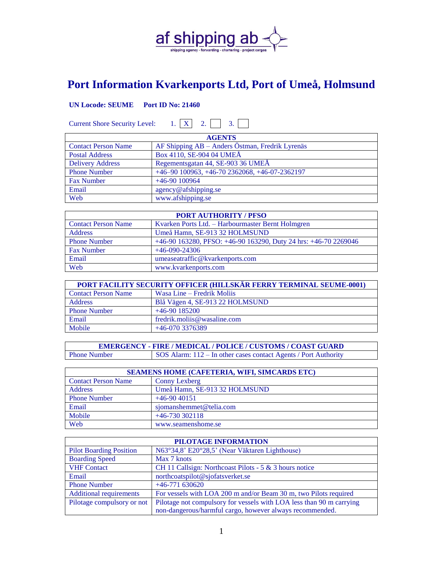

## **Port Information Kvarkenports Ltd, Port of Umeå, Holmsund**

## **UN Locode: SEUME Port ID No: 21460**

Current Shore Security Level:  $1. \overline{X}$  2.  $\overline{3.}$  $\Box$ 

| <b>AGENTS</b>              |                                                 |  |
|----------------------------|-------------------------------------------------|--|
| <b>Contact Person Name</b> | AF Shipping AB - Anders Östman, Fredrik Lyrenäs |  |
| <b>Postal Address</b>      | Box 4110, SE-904 04 UMEÅ                        |  |
| <b>Delivery Address</b>    | Regementsgatan 44, SE-903 36 UMEÅ               |  |
| <b>Phone Number</b>        | +46-90 100963, +46-70 2362068, +46-07-2362197   |  |
| <b>Fax Number</b>          | $+46-90100964$                                  |  |
| Email                      | agency@afshipping.se                            |  |
| Web                        | www.afshipping.se                               |  |

| <b>PORT AUTHORITY / PFSO</b> |                                                                 |  |
|------------------------------|-----------------------------------------------------------------|--|
| <b>Contact Person Name</b>   | Kvarken Ports Ltd. - Harbourmaster Bernt Holmgren               |  |
| <b>Address</b>               | Umeå Hamn, SE-913 32 HOLMSUND                                   |  |
| <b>Phone Number</b>          | +46-90 163280, PFSO: +46-90 163290, Duty 24 hrs: +46-70 2269046 |  |
| <b>Fax Number</b>            | $+46-090-24306$                                                 |  |
| Email                        | umeaseatraffic@kvarkenports.com                                 |  |
| Web                          | www.kvarkenports.com                                            |  |

| <b>PORT FACILITY SECURITY OFFICER (HILLSKÄR FERRY TERMINAL SEUME-0001)</b> |                                 |  |
|----------------------------------------------------------------------------|---------------------------------|--|
| <b>Contact Person Name</b>                                                 | Wasa Line – Fredrik Moliis      |  |
| <b>Address</b>                                                             | Blå Vägen 4, SE-913 22 HOLMSUND |  |
| <b>Phone Number</b>                                                        | $+46-90$ 185200                 |  |
| Email                                                                      | fredrik.molijs@wasaline.com     |  |
| Mobile                                                                     | $+46-0703376389$                |  |

**EMERGENCY - FIRE / MEDICAL / POLICE / CUSTOMS / COAST GUARD** Phone Number SOS Alarm: 112 – In other cases contact Agents / Port Authority

| <b>SEAMENS HOME (CAFETERIA, WIFI, SIMCARDS ETC)</b> |                               |  |
|-----------------------------------------------------|-------------------------------|--|
| <b>Contact Person Name</b>                          | <b>Conny Lexberg</b>          |  |
| <b>Address</b>                                      | Umeå Hamn, SE-913 32 HOLMSUND |  |
| <b>Phone Number</b>                                 | $+46-9040151$                 |  |
| Email                                               | sjomanshemmet@telia.com       |  |
| Mobile                                              | $+46-730302118$               |  |
| Web                                                 | www.seamenshome.se            |  |

| PILOTAGE INFORMATION           |                                                                      |  |
|--------------------------------|----------------------------------------------------------------------|--|
| <b>Pilot Boarding Position</b> | N63°34,8' E20°28,5' (Near Väktaren Lighthouse)                       |  |
| <b>Boarding Speed</b>          | Max 7 knots                                                          |  |
| <b>VHF Contact</b>             | CH 11 Callsign: Northcoast Pilots - 5 & 3 hours notice               |  |
| Email                          | northcoatspilot@sjofatsverket.se                                     |  |
| <b>Phone Number</b>            | $+46-771630620$                                                      |  |
| <b>Additional requirements</b> | For vessels with LOA 200 m and/or Beam 30 m, two Pilots required     |  |
| Pilotage compulsory or not     | Pilotage not compulsory for vessels with LOA less than 90 m carrying |  |
|                                | non-dangerous/harmful cargo, however always recommended.             |  |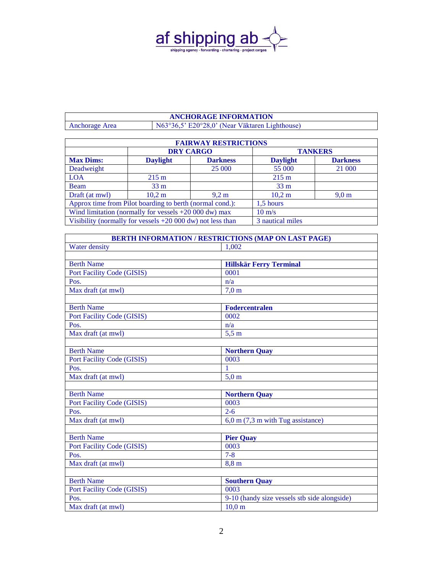

## **ANCHORAGE INFORMATION** Anchorage Area N63°36,5' E20°28,0' (Near Väktaren Lighthouse)

| <b>FAIRWAY RESTRICTIONS</b>                                     |                  |                  |                 |                  |
|-----------------------------------------------------------------|------------------|------------------|-----------------|------------------|
|                                                                 | <b>DRY CARGO</b> |                  | <b>TANKERS</b>  |                  |
| <b>Max Dims:</b>                                                | <b>Daylight</b>  | <b>Darkness</b>  | <b>Daylight</b> | <b>Darkness</b>  |
| Deadweight                                                      |                  | 25 000           | 55 000          | 21 000           |
| <b>LOA</b>                                                      | $215 \text{ m}$  |                  | $215 \text{ m}$ |                  |
| <b>Beam</b>                                                     | $33 \text{ m}$   |                  | 33 <sub>m</sub> |                  |
| Draft (at mwl)                                                  | 10,2 m           | $9.2 \text{ m}$  | 10,2 m          | 9.0 <sub>m</sub> |
| Approx time from Pilot boarding to berth (normal cond.):        |                  | 1.5 hours        |                 |                  |
| Wind limitation (normally for vessels $+20000$ dw) max          |                  | $10 \text{ m/s}$ |                 |                  |
| Visibility (normally for vessels $+20000 \, dw$ ) not less than |                  | 3 nautical miles |                 |                  |

| <b>BERTH INFORMATION / RESTRICTIONS (MAP ON LAST PAGE)</b> |                                              |  |
|------------------------------------------------------------|----------------------------------------------|--|
| Water density                                              | 1,002                                        |  |
|                                                            |                                              |  |
| <b>Berth Name</b>                                          | <b>Hillskär Ferry Terminal</b>               |  |
| Port Facility Code (GISIS)                                 | 0001                                         |  |
| Pos.                                                       | n/a                                          |  |
| Max draft (at mwl)                                         | 7.0 <sub>m</sub>                             |  |
|                                                            |                                              |  |
| <b>Berth Name</b>                                          | <b>Fodercentralen</b>                        |  |
| Port Facility Code (GISIS)                                 | 0002                                         |  |
| Pos.                                                       | n/a                                          |  |
| Max draft (at mwl)                                         | $5,5 \text{ m}$                              |  |
|                                                            |                                              |  |
| <b>Berth Name</b>                                          | <b>Northern Quay</b>                         |  |
| <b>Port Facility Code (GISIS)</b>                          | 0003                                         |  |
| Pos.                                                       | 1                                            |  |
| Max draft (at mwl)                                         | $5,0 \text{ m}$                              |  |
|                                                            |                                              |  |
| <b>Berth Name</b>                                          | <b>Northern Quay</b>                         |  |
| <b>Port Facility Code (GISIS)</b>                          | 0003                                         |  |
| Pos.                                                       | $2 - 6$                                      |  |
| Max draft (at mwl)                                         | $6.0$ m $(7.3$ m with Tug assistance)        |  |
|                                                            |                                              |  |
| <b>Berth Name</b>                                          | <b>Pier Quay</b>                             |  |
| Port Facility Code (GISIS)                                 | 0003                                         |  |
| Pos.                                                       | $7 - 8$                                      |  |
| Max draft (at mwl)                                         | $8,8 \text{ m}$                              |  |
|                                                            |                                              |  |
| <b>Berth Name</b>                                          | <b>Southern Quay</b>                         |  |
| Port Facility Code (GISIS)                                 | 0003                                         |  |
| Pos.                                                       | 9-10 (handy size vessels stb side alongside) |  |
| Max draft (at mwl)                                         | 10,0 m                                       |  |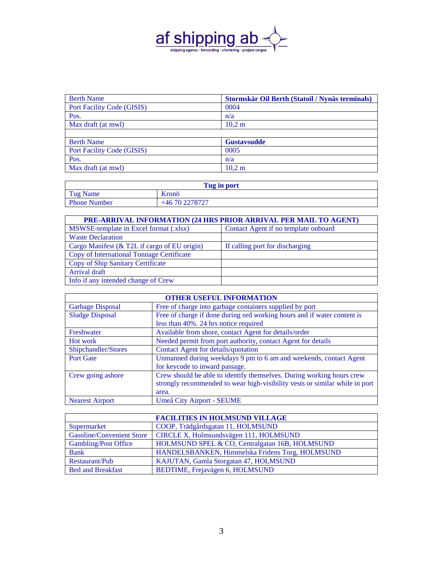

| <b>Berth Name</b>                 | Stormskär Oil Berth (Statoil / Nynäs terminals) |
|-----------------------------------|-------------------------------------------------|
| Port Facility Code (GISIS)        | 0004                                            |
| Pos.                              | n/a                                             |
| Max draft (at mwl)                | 10,2 m                                          |
|                                   |                                                 |
| <b>Berth Name</b>                 | <b>Gustavsudde</b>                              |
| <b>Port Facility Code (GISIS)</b> | 0005                                            |
| Pos.                              | n/a                                             |
| Max draft (at mwl)                | 10,2 m                                          |

| Tug in port         |                |
|---------------------|----------------|
| Tug Name            | Kronö          |
| <b>Phone Number</b> | +46 70 2278727 |

| <b>PRE-ARRIVAL INFORMATION (24 HRS PRIOR ARRIVAL PER MAIL TO AGENT)</b> |                                      |  |
|-------------------------------------------------------------------------|--------------------------------------|--|
| MSWSE-template in Excel format (.xlsx)                                  | Contact Agent if no template onboard |  |
| <b>Waste Declaration</b>                                                |                                      |  |
| Cargo Manifest (& T2L if cargo of EU origin)                            | If calling port for discharging      |  |
| Copy of International Tonnage Certificate                               |                                      |  |
| Copy of Ship Sanitary Certificate                                       |                                      |  |
| Arrival draft                                                           |                                      |  |
| Info if any intended change of Crew                                     |                                      |  |

| <b>OTHER USEFUL INFORMATION</b>                                             |  |  |
|-----------------------------------------------------------------------------|--|--|
|                                                                             |  |  |
| Free of charge if done during ord working hours and if water content is     |  |  |
|                                                                             |  |  |
|                                                                             |  |  |
|                                                                             |  |  |
|                                                                             |  |  |
| Unmanned during weekdays 9 pm to 6 am and weekends, contact Agent           |  |  |
|                                                                             |  |  |
| Crew should be able to identify themselves. During working hours crew       |  |  |
| strongly recommended to wear high-visibility vests or similar while in port |  |  |
|                                                                             |  |  |
|                                                                             |  |  |
|                                                                             |  |  |

|                                  | <b>FACILITIES IN HOLMSUND VILLAGE</b>           |
|----------------------------------|-------------------------------------------------|
| Supermarket                      | COOP, Trädgårdsgatan 11, HOLMSUND               |
| <b>Gasoline/Convenient Store</b> | CIRCLE X, Holmsundsvägen 111, HOLMSUND          |
| Gambling/Post Office             | HOLMSUND SPEL & CO, Centralgatan 16B, HOLMSUND  |
| <b>Bank</b>                      | HANDELSBANKEN, Himmelska Fridens Torg, HOLMSUND |
| Restaurant/Pub                   | KAJUTAN, Gamla Storgatan 47, HOLMSUND           |
| <b>Bed and Breakfast</b>         | BEDTIME, Frejavägen 6, HOLMSUND                 |